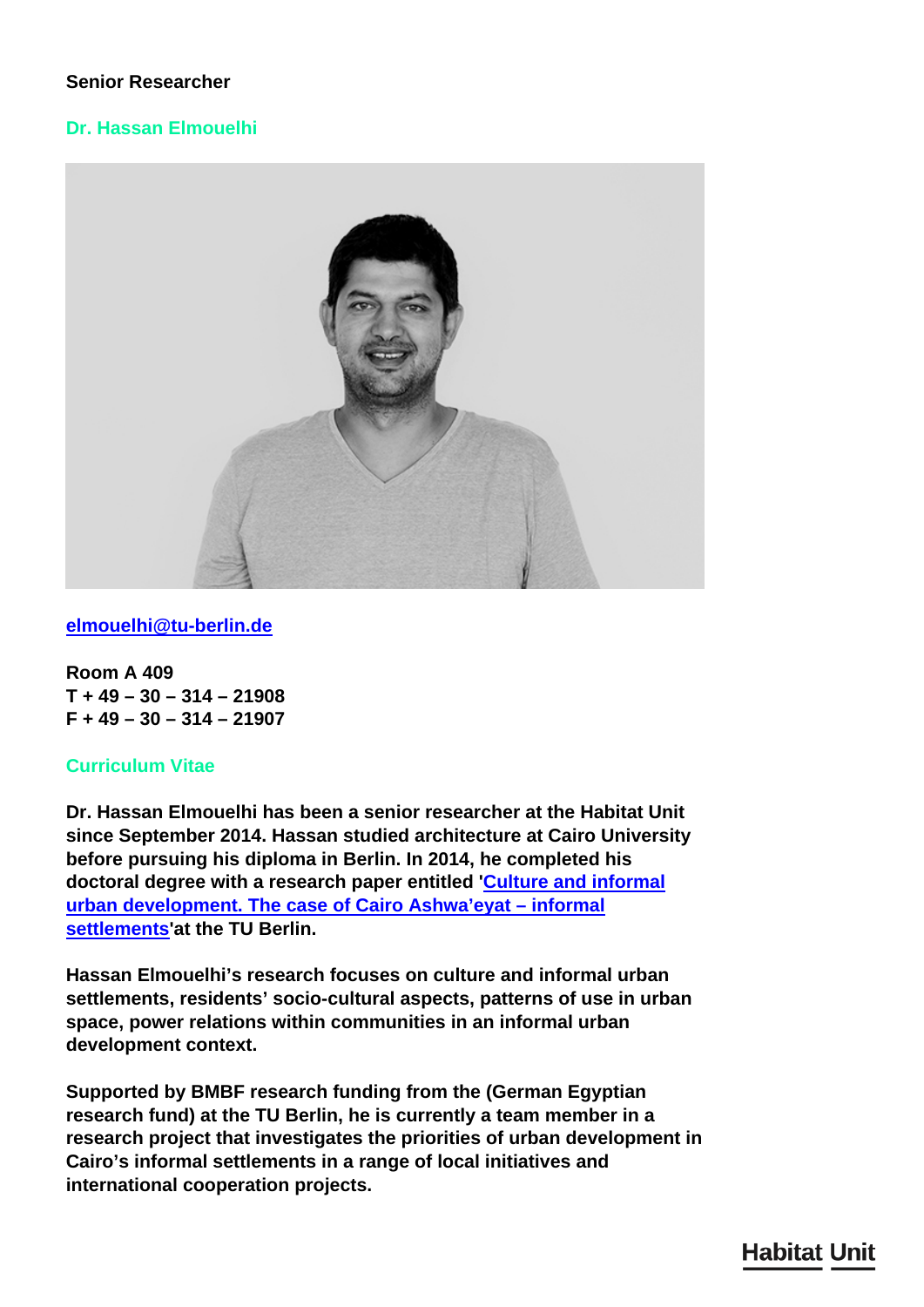# **Senior Researcher**

# **Dr. Hassan Elmouelhi**



# **[elmouelhi@tu-berlin.de](mailto:elmouelhi@tu-berlin.de)**

**Room A 409 T + 49 – 30 – 314 – 21908 F + 49 – 30 – 314 – 21907**

# **Curriculum Vitae**

**Dr. Hassan Elmouelhi has been a senior researcher at the Habitat Unit since September 2014. Hassan studied architecture at Cairo University before pursuing his diploma in Berlin. In 2014, he completed his doctoral degree with a research paper entitled '[Culture and informal](/en/publications/culture-and-informal-settlement/) [urban development. The case of Cairo Ashwa'eyat – informal](/en/publications/culture-and-informal-settlement/) [settlements](/en/publications/culture-and-informal-settlement/)'at the TU Berlin.**

**Hassan Elmouelhi's research focuses on culture and informal urban settlements, residents' socio-cultural aspects, patterns of use in urban space, power relations within communities in an informal urban development context.**

**Supported by BMBF research funding from the (German Egyptian research fund) at the TU Berlin, he is currently a team member in a research project that investigates the priorities of urban development in Cairo's informal settlements in a range of local initiatives and international cooperation projects.**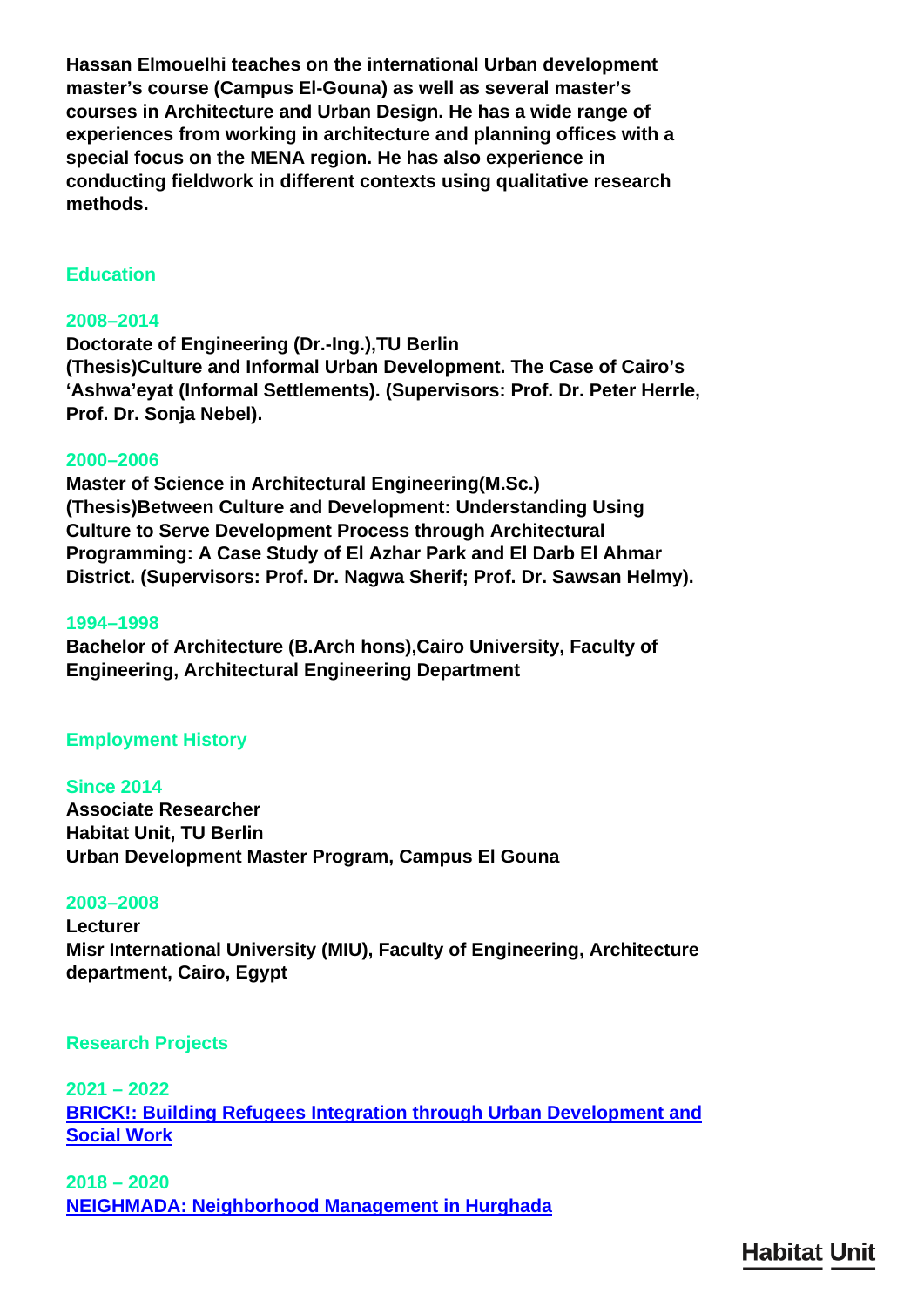**Hassan Elmouelhi teaches on the international Urban development master's course (Campus El-Gouna) as well as several master's courses in Architecture and Urban Design. He has a wide range of experiences from working in architecture and planning offices with a special focus on the MENA region. He has also experience in conducting fieldwork in different contexts using qualitative research methods.**

## **Education**

## **2008–2014**

**Doctorate of Engineering (Dr.-Ing.),TU Berlin (Thesis)Culture and Informal Urban Development. The Case of Cairo's 'Ashwa'eyat (Informal Settlements). (Supervisors: Prof. Dr. Peter Herrle, Prof. Dr. Sonja Nebel).**

#### **2000–2006**

**Master of Science in Architectural Engineering(M.Sc.) (Thesis)Between Culture and Development: Understanding Using Culture to Serve Development Process through Architectural Programming: A Case Study of El Azhar Park and El Darb El Ahmar District. (Supervisors: Prof. Dr. Nagwa Sherif; Prof. Dr. Sawsan Helmy).**

#### **1994–1998**

**Bachelor of Architecture (B.Arch hons),Cairo University, Faculty of Engineering, Architectural Engineering Department**

#### **Employment History**

#### **Since 2014**

**Associate Researcher Habitat Unit, TU Berlin Urban Development Master Program, Campus El Gouna**

#### **2003–2008**

**Lecturer Misr International University (MIU), Faculty of Engineering, Architecture department, Cairo, Egypt**

#### **Research Projects**

**2021 – 2022 [BRICK!: Building Refugees Integration through Urban Development and](/en/research/brick/) [Social Work](/en/research/brick/)**

**2018 – 2020 [NEIGHMADA: Neighborhood Management in Hurghada](/en/research/neighmada-neighborhood-management-in-hurghada/)**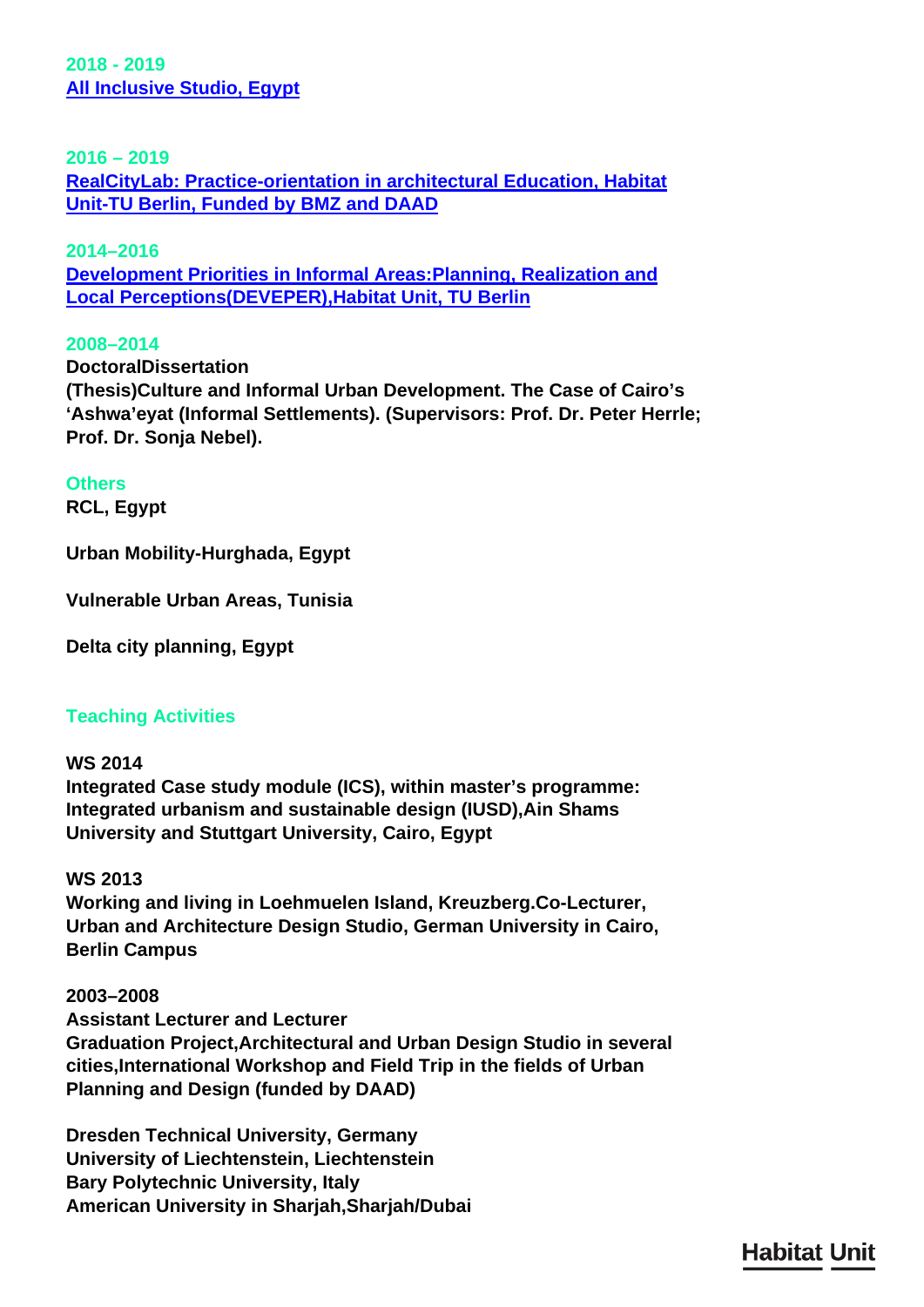**2018 - 2019 [All Inclusive Studio, Egypt](/en/teaching/ws-18-19-red-sea-all-inclusive/)**

## **2016 – 2019**

**[RealCityLab: Practice-orientation in architectural Education, Habitat](/en/research/realcity-lab/) [Unit-TU Berlin, Funded by BMZ and DAAD](/en/research/realcity-lab/)**

# **2014–2016**

**[Development Priorities in Informal Areas:Planning, Realization and](/en/research/deveper/) [Local Perceptions\(DEVEPER\),Habitat Unit, TU Berlin](/en/research/deveper/)**

#### **2008–2014**

**DoctoralDissertation**

**(Thesis)Culture and Informal Urban Development. The Case of Cairo's 'Ashwa'eyat (Informal Settlements). (Supervisors: Prof. Dr. Peter Herrle; Prof. Dr. Sonja Nebel).**

# **Others**

**RCL, Egypt**

**Urban Mobility-Hurghada, Egypt**

**Vulnerable Urban Areas, Tunisia**

**Delta city planning, Egypt**

# **Teaching Activities**

**WS 2014 Integrated Case study module (ICS), within master's programme: Integrated urbanism and sustainable design (IUSD),Ain Shams University and Stuttgart University, Cairo, Egypt**

# **WS 2013**

**Working and living in Loehmuelen Island, Kreuzberg.Co-Lecturer, Urban and Architecture Design Studio, German University in Cairo, Berlin Campus**

### **2003–2008**

**Assistant Lecturer and Lecturer Graduation Project,Architectural and Urban Design Studio in several cities,International Workshop and Field Trip in the fields of Urban Planning and Design (funded by DAAD)**

**Dresden Technical University, Germany University of Liechtenstein, Liechtenstein Bary Polytechnic University, Italy American University in Sharjah,Sharjah/Dubai**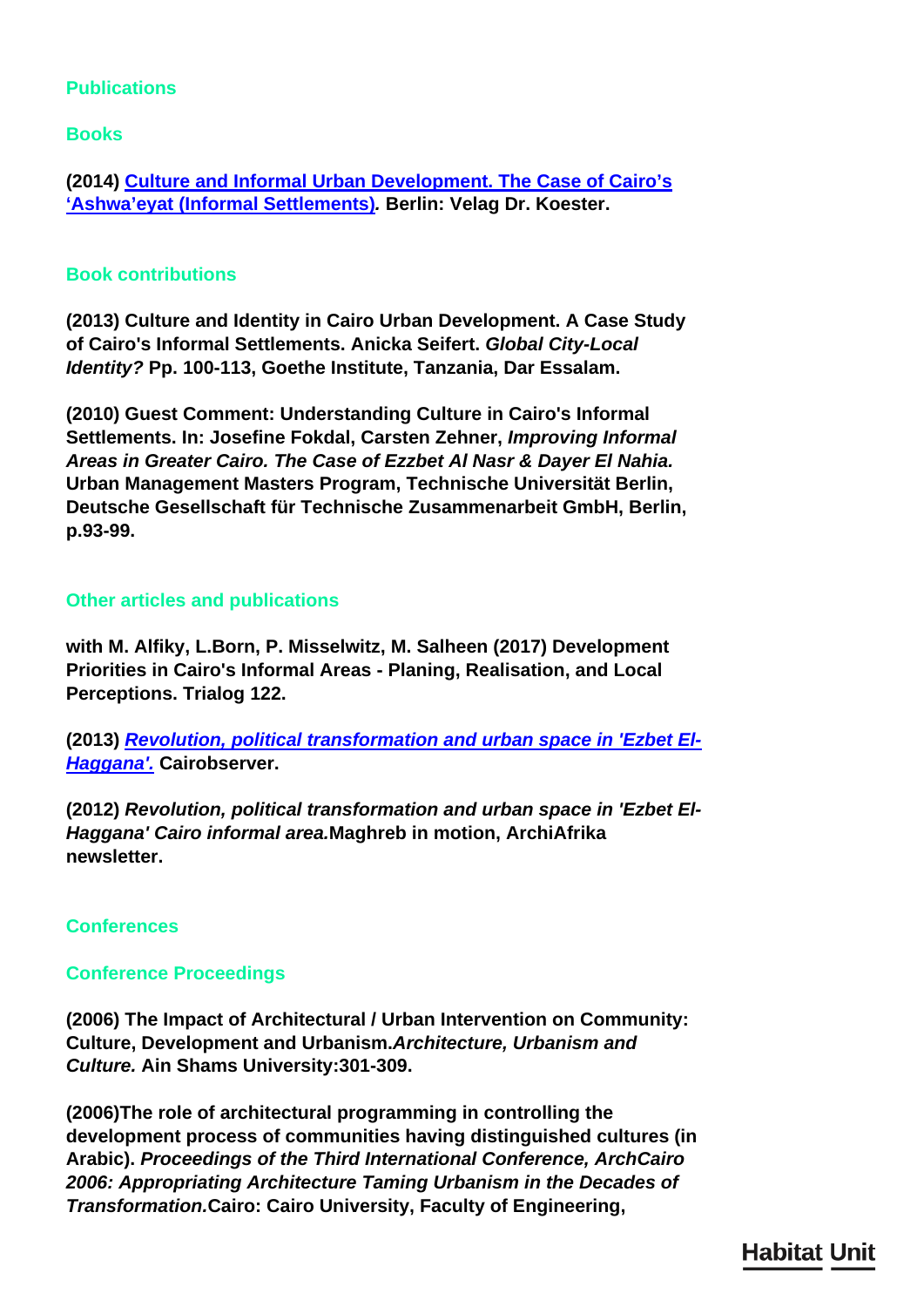# **Publications**

**Books**

**(2014) [Culture and Informal Urban Development. The Case of Cairo's](/en/publications/culture-and-informal-settlement/) ['Ashwa'eyat \(Informal Settlements\)](/en/publications/culture-and-informal-settlement/)***.* **Berlin: Velag Dr. Koester.**

# **Book contributions**

**(2013) Culture and Identity in Cairo Urban Development. A Case Study of Cairo's Informal Settlements. Anicka Seifert.** *Global City-Local Identity?* **Pp. 100-113, Goethe Institute, Tanzania, Dar Essalam.**

**(2010) Guest Comment: Understanding Culture in Cairo's Informal Settlements. In: Josefine Fokdal, Carsten Zehner,** *Improving Informal Areas in Greater Cairo. The Case of Ezzbet Al Nasr & Dayer El Nahia.* **Urban Management Masters Program, Technische Universität Berlin, Deutsche Gesellschaft für Technische Zusammenarbeit GmbH, Berlin, p.93-99.**

# **Other articles and publications**

**with M. Alfiky, L.Born, P. Misselwitz, M. Salheen (2017) Development Priorities in Cairo's Informal Areas - Planing, Realisation, and Local Perceptions. Trialog 122.**

**(2013)** *[Revolution, political transformation and urban space in 'Ezbet El-](http://cairobserver.com/post/40833532410/revolution-political-transformation-and-urban)[Haggana'.](http://cairobserver.com/post/40833532410/revolution-political-transformation-and-urban)* **Cairobserver.**

**(2012)** *Revolution, political transformation and urban space in 'Ezbet El-Haggana' Cairo informal area.***Maghreb in motion, ArchiAfrika newsletter.**

# **Conferences**

# **Conference Proceedings**

**(2006) The Impact of Architectural / Urban Intervention on Community: Culture, Development and Urbanism.***Architecture, Urbanism and Culture.* **Ain Shams University:301-309.**

**(2006)The role of architectural programming in controlling the development process of communities having distinguished cultures (in Arabic).** *Proceedings of the Third International Conference, ArchCairo 2006: Appropriating Architecture Taming Urbanism in the Decades of Transformation.***Cairo: Cairo University, Faculty of Engineering,**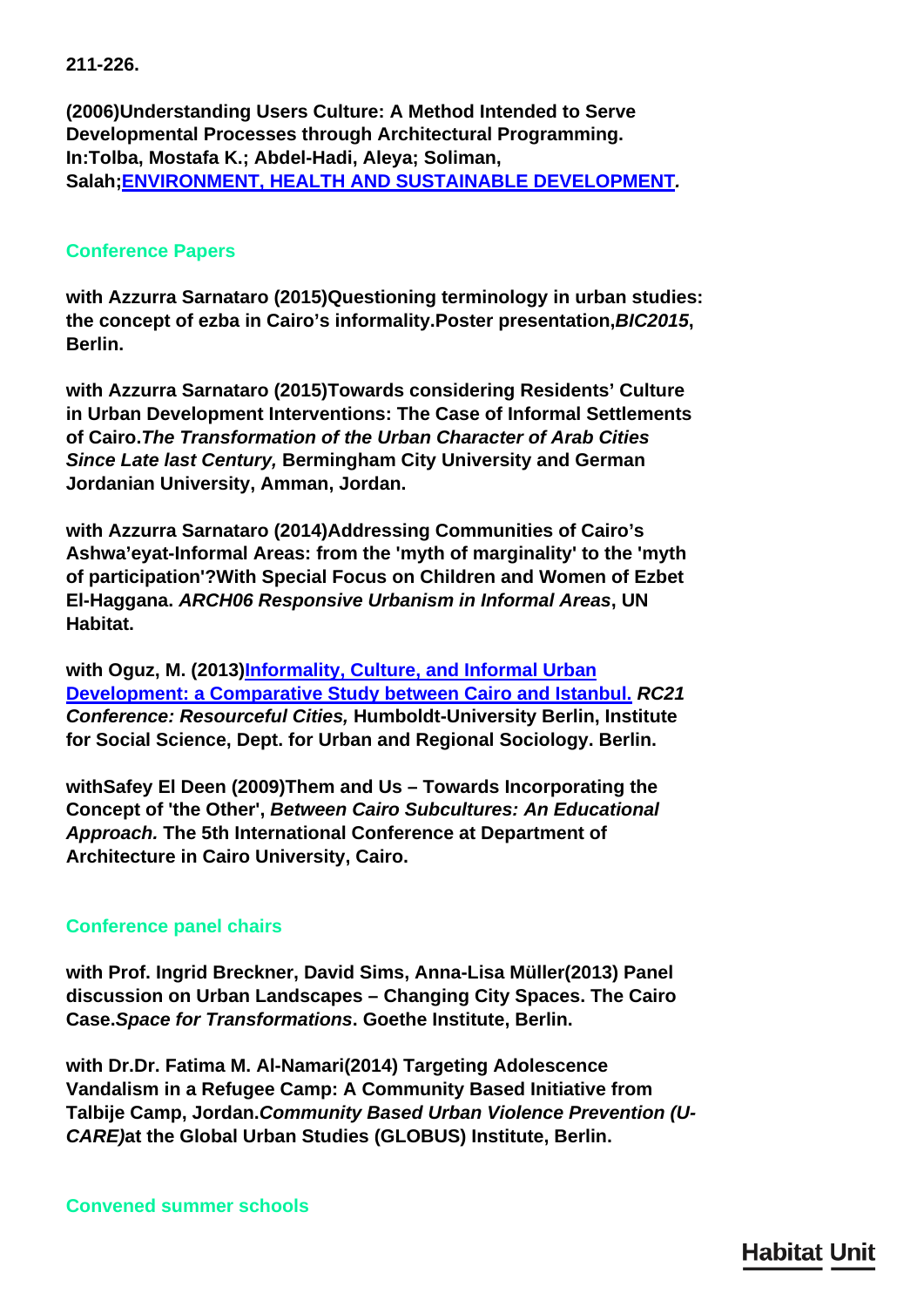**211-226.**

**(2006)Understanding Users Culture: A Method Intended to Serve Developmental Processes through Architectural Programming. In:Tolba, Mostafa K.; Abdel-Hadi, Aleya; Soliman, Salah;[ENVIRONMENT, HEALTH AND SUSTAINABLE DEVELOPMENT](http://iaps.scix.net/cgi-bin/works/Show?iaps_19_2006_683)***.*

# **Conference Papers**

**with Azzurra Sarnataro (2015)Questioning terminology in urban studies: the concept of ezba in Cairo's informality.Poster presentation,***BIC2015***, Berlin.**

**with Azzurra Sarnataro (2015)Towards considering Residents' Culture in Urban Development Interventions: The Case of Informal Settlements of Cairo.***The Transformation of the Urban Character of Arab Cities Since Late last Century,* **Bermingham City University and German Jordanian University, Amman, Jordan.**

**with Azzurra Sarnataro (2014)Addressing Communities of Cairo's Ashwa'eyat-Informal Areas: from the 'myth of marginality' to the 'myth of participation'?With Special Focus on Children and Women of Ezbet El-Haggana.** *ARCH06 Responsive Urbanism in Informal Areas***, UN Habitat.**

**with Oguz, M. (2013)[Informality, Culture, and Informal Urban](http://www.rc21.org/conferences/berlin2013/RC21-Berlin-Papers/9-1-ElMouelhi-Oguz.pdf) [Development: a Comparative Study between Cairo and Istanbul.](http://www.rc21.org/conferences/berlin2013/RC21-Berlin-Papers/9-1-ElMouelhi-Oguz.pdf)** *RC21 Conference: Resourceful Cities,* **Humboldt-University Berlin, Institute for Social Science, Dept. for Urban and Regional Sociology. Berlin.**

**withSafey El Deen (2009)Them and Us – Towards Incorporating the Concept of 'the Other',** *Between Cairo Subcultures: An Educational Approach.* **The 5th International Conference at Department of Architecture in Cairo University, Cairo.**

# **Conference panel chairs**

**with Prof. Ingrid Breckner, David Sims, Anna-Lisa Müller(2013) Panel discussion on Urban Landscapes – Changing City Spaces. The Cairo Case.***Space for Transformations***. Goethe Institute, Berlin.**

**with Dr.Dr. Fatima M. Al-Namari(2014) Targeting Adolescence Vandalism in a Refugee Camp: A Community Based Initiative from Talbije Camp, Jordan.***Community Based Urban Violence Prevention (U-CARE)***at the Global Urban Studies (GLOBUS) Institute, Berlin.**

**Convened summer schools**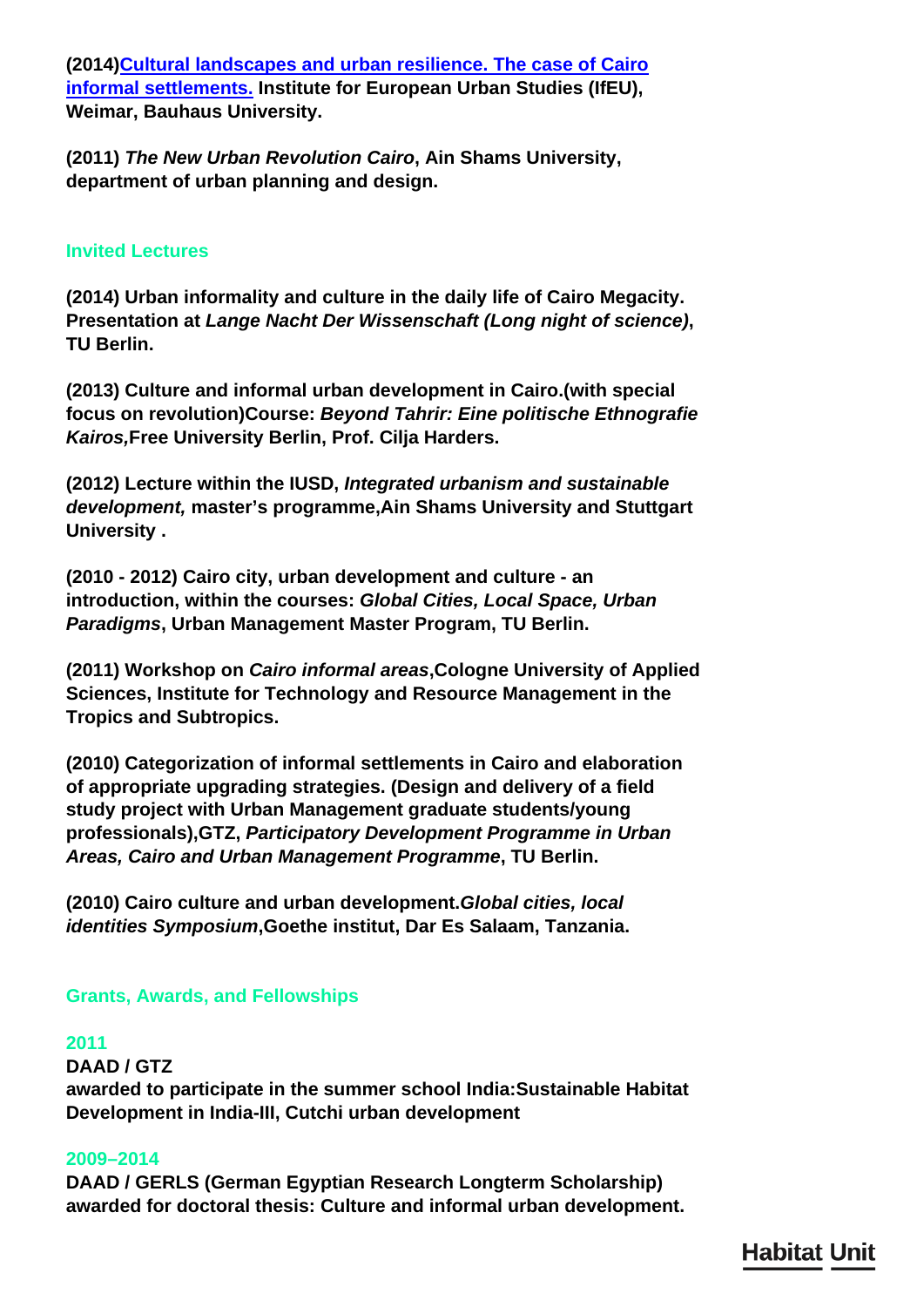**(2014[\)Cultural landscapes and urban resilience. The case of Cairo](https://www.uni-weimar.de/summerschool/en/courses/architecture-urban-studies/cultural-landscapes-urban-resilience/) [informal settlements.](https://www.uni-weimar.de/summerschool/en/courses/architecture-urban-studies/cultural-landscapes-urban-resilience/) Institute for European Urban Studies (IfEU), Weimar, Bauhaus University.**

**(2011)** *The New Urban Revolution Cairo***, Ain Shams University, department of urban planning and design.**

# **Invited Lectures**

**(2014) Urban informality and culture in the daily life of Cairo Megacity. Presentation at** *Lange Nacht Der Wissenschaft (Long night of science)***, TU Berlin.**

**(2013) Culture and informal urban development in Cairo.(with special focus on revolution)Course:** *Beyond Tahrir: Eine politische Ethnografie Kairos,***Free University Berlin, Prof. Cilja Harders.**

**(2012) Lecture within the IUSD,** *Integrated urbanism and sustainable development,* **master's programme,Ain Shams University and Stuttgart University .**

**(2010 - 2012) Cairo city, urban development and culture - an introduction, within the courses:** *Global Cities, Local Space, Urban Paradigms***, Urban Management Master Program, TU Berlin.**

**(2011) Workshop on** *Cairo informal areas***,Cologne University of Applied Sciences, Institute for Technology and Resource Management in the Tropics and Subtropics.**

**(2010) Categorization of informal settlements in Cairo and elaboration of appropriate upgrading strategies. (Design and delivery of a field study project with Urban Management graduate students/young professionals),GTZ,** *Participatory Development Programme in Urban Areas, Cairo and Urban Management Programme***, TU Berlin.**

**(2010) Cairo culture and urban development.***Global cities, local identities Symposium***,Goethe institut, Dar Es Salaam, Tanzania.**

# **Grants, Awards, and Fellowships**

# **2011**

**DAAD / GTZ awarded to participate in the summer school India:Sustainable Habitat Development in India-III, Cutchi urban development**

# **2009–2014**

**DAAD / GERLS (German Egyptian Research Longterm Scholarship) awarded for doctoral thesis: Culture and informal urban development.**